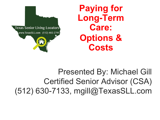

**Paying for Long-Term Care: Options & Costs**

Presented By: Michael Gill Certified Senior Advisor (CSA) (512) 630-7133, mgill@TexasSLL.com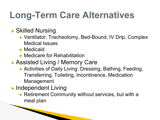# **Long-Term Care Alternatives**

▶ Skilled Nursing

▶ Ventilator, Tracheotomy, Bed-Bound, IV Drip, Complex Medical Issues

▶ Medicaid

▶ Medicare for Rehabilitation

▶ Assisted Living / Memory Care

- ▶ Activities of Daily Living: Dressing, Bathing, Feeding, Transferring, Toileting, Incontinence, Medication Management
- ▶ Independent Living

**The Commencer Commencer Commencer** 

▶ Retirement Community without services, but with a meal plan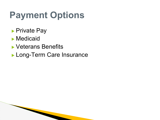# **Payment Options**

- ▶ Private Pay
- ▶ Medicaid
- ▶ Veterans Benefits
- ▶ Long-Term Care Insurance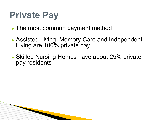# **Private Pay**

**The Commencer of the Commencer** 

- ▶ The most common payment method
- ▶ Assisted Living, Memory Care and Independent Living are 100% private pay
- ▶ Skilled Nursing Homes have about 25% private pay residents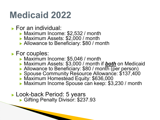### **Medicaid 2022**

▶ For an individual:

- ▶ Maximum Income: \$2,532 / month
- ▶ Maximum Assets: \$2,000 / month
- ▶ Allowance to Beneficiary: \$80 / month
- ▶ For couples:
	- ▶ Maximum Income: \$5,046 / month
	- ▶ Maximum Assets: \$3,000 / month if *both* on Medicaid
	- ▶ Allowance to Beneficiary: \$80 / month (per person)
	- ▶ Spouse Community Resource Allowance: \$137,400
	- ▶ Maximum Homestead Equity: \$636,000
	- ▶ Maximum Income Spouse can keep: \$3,230 / month
- ▶ Look-back Period: 5 years ▶ Gifting Penalty Divisor: \$237.93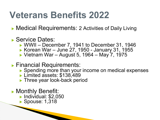### **Veterans Benefits 2022**

▶ Medical Requirements: 2 Activities of Daily Living

- ▶ Service Dates:
	- ▶ WWII December 7, 1941 to December 31, 1946
	- ▶ Korean War June 27, 1950 January 31, 1955
	- ▶ Vietnam War August 5, 1964 May 7, 1975
- ▶ Financial Requirements:
	- ▶ Spending more than your income on medical expenses
	- ▶ Limited assets: \$138,489
	- ▶ Three year look-back period
- ▶ Monthly Benefit:
	- ▶ Individual: \$2,050
	- ▶ Spouse: 1,318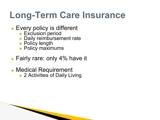## **Long-Term Care Insurance**

- ▶ Every policy is different
	- ▶ Exclusion period
	- ▶ Daily reimbursement rate
	- ▶ Policy length

- ▶ Policy maximums
- ▶ Fairly rare: only 4% have it
- ▶ Medical Requirement ▶ 2 Activities of Daily Living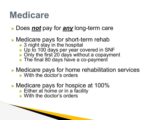### **Medicare**

#### ▶ Does *not* pay for *any* long-term care

#### ▶ Medicare pays for short-term rehab

- $\triangleright$  3 night stay in the hospital
- ▶ Up to 100 days per year covered in SNF
- ▶ Only the first 20 days without a copayment
- ▶ The final 80 days have a co-payment
- ▶ Medicare pays for home rehabilitation services ▶ With the doctor's orders
- ▶ Medicare pays for hospice at 100%
	- $\blacktriangleright$  Either at home or in a facility
	- ▶ With the doctor's orders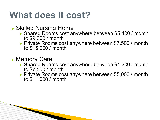### **What does it cost?**

▶ Skilled Nursing Home

- ▶ Shared Rooms cost anywhere between \$5,400 / month to \$9,000 / month
- ▶ Private Rooms cost anywhere between \$7,500 / month to \$15,000 / month
- ▶ Memory Care

- ▶ Shared Rooms cost anywhere between \$4,200 / month to \$7,500 / month
- ▶ Private Rooms cost anywhere between \$5,000 / month to \$11,000 / month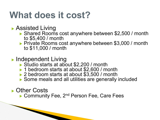### **What does it cost?**

- ▶ Assisted Living
	- ▶ Shared Rooms cost anywhere between \$2,500 / month to \$5,400 / month
	- ▶ Private Rooms cost anywhere between \$3,000 / month to \$11,000 / month
- ▶ Independent Living
	- ▶ Studio starts at about \$2,200 / month
	- ▶ 1 bedroom starts at about \$2,600 / month
	- ▶ 2 bedroom starts at about \$3,500 / month
	- ▶ Some meals and all utilities are generally included

▶ Other Costs

**The Communication of the Communication** 

▶ Community Fee, 2<sup>nd</sup> Person Fee, Care Fees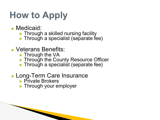# **How to Apply**

- ▶ Medicaid:
	- ▶ Through a skilled nursing facility
	- $\blacktriangleright$  Through a specialist (separate fee)

#### ▶ Veterans Benefits:

- ▶ Through the VA
- ▶ Through the County Resource Officer
- $\blacktriangleright$  Through a specialist (separate fee)

#### ▶ Long-Term Care Insurance

▶ Private Brokers

**The Communication of the Communication** 

▶ Through your employer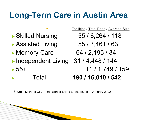### **Long-Term Care in Austin Area**

- ▶ Skilled Nursing 55 / 6,264 / 118
- ▶ Assisted Living 55 / 3,461 / 63
- Memory Care 64 / 2,195 / 34
- ▶ Independent Living 31 / 4,448 / 144 ▶ 55+ 11 / 1,749 / 159
- 
- Facilities / Total Beds / Average Size ▶ Total **190 / 16,010 / 542**

Source: Michael Gill, Texas Senior Living Locators, as of January 2022